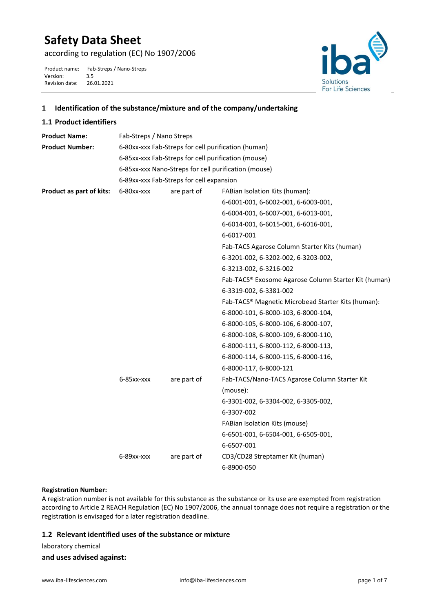# **Safety Data Sheet**

according to regulation (EC) No 1907/2006

Product name: Fab-Streps / Nano-Streps<br>Version: 3.5 Version: 3.5<br>Revision date: 26.01.2021 Revision date:



## **1 Identification of the substance/mixture and of the company/undertaking**

## **1.1 Product identifiers**

| <b>Product Name:</b>     | Fab-Streps / Nano Streps                             |             |                                                      |  |  |
|--------------------------|------------------------------------------------------|-------------|------------------------------------------------------|--|--|
| <b>Product Number:</b>   | 6-80xx-xxx Fab-Streps for cell purification (human)  |             |                                                      |  |  |
|                          | 6-85xx-xxx Fab-Streps for cell purification (mouse)  |             |                                                      |  |  |
|                          | 6-85xx-xxx Nano-Streps for cell purification (mouse) |             |                                                      |  |  |
|                          | 6-89xx-xxx Fab-Streps for cell expansion             |             |                                                      |  |  |
| Product as part of kits: | 6-80xx-xxx                                           | are part of | FABian Isolation Kits (human):                       |  |  |
|                          |                                                      |             | 6-6001-001, 6-6002-001, 6-6003-001,                  |  |  |
|                          |                                                      |             | 6-6004-001, 6-6007-001, 6-6013-001,                  |  |  |
|                          |                                                      |             | 6-6014-001, 6-6015-001, 6-6016-001,                  |  |  |
|                          |                                                      |             | 6-6017-001                                           |  |  |
|                          |                                                      |             | Fab-TACS Agarose Column Starter Kits (human)         |  |  |
|                          |                                                      |             | 6-3201-002, 6-3202-002, 6-3203-002,                  |  |  |
|                          |                                                      |             | 6-3213-002, 6-3216-002                               |  |  |
|                          |                                                      |             | Fab-TACS® Exosome Agarose Column Starter Kit (human) |  |  |
|                          |                                                      |             | 6-3319-002, 6-3381-002                               |  |  |
|                          |                                                      |             | Fab-TACS® Magnetic Microbead Starter Kits (human):   |  |  |
|                          |                                                      |             | 6-8000-101, 6-8000-103, 6-8000-104,                  |  |  |
|                          |                                                      |             | 6-8000-105, 6-8000-106, 6-8000-107,                  |  |  |
|                          |                                                      |             | 6-8000-108, 6-8000-109, 6-8000-110,                  |  |  |
|                          |                                                      |             | 6-8000-111, 6-8000-112, 6-8000-113,                  |  |  |
|                          |                                                      |             | 6-8000-114, 6-8000-115, 6-8000-116,                  |  |  |
|                          |                                                      |             | 6-8000-117, 6-8000-121                               |  |  |
|                          | $6-85xx$ - $xxx$                                     | are part of | Fab-TACS/Nano-TACS Agarose Column Starter Kit        |  |  |
|                          |                                                      |             | (mouse):                                             |  |  |
|                          |                                                      |             | 6-3301-002, 6-3304-002, 6-3305-002,                  |  |  |
|                          |                                                      |             | 6-3307-002                                           |  |  |
|                          |                                                      |             | FABian Isolation Kits (mouse)                        |  |  |
|                          |                                                      |             | 6-6501-001, 6-6504-001, 6-6505-001,                  |  |  |
|                          |                                                      |             | 6-6507-001                                           |  |  |
|                          | 6-89xx-xxx                                           | are part of | CD3/CD28 Streptamer Kit (human)                      |  |  |
|                          |                                                      |             | 6-8900-050                                           |  |  |
|                          |                                                      |             |                                                      |  |  |

#### **Registration Number:**

A registration number is not available for this substance as the substance or its use are exempted from registration according to Article 2 REACH Regulation (EC) No 1907/2006, the annual tonnage does not require a registration or the registration is envisaged for a later registration deadline.

## **1.2 Relevant identified uses of the substance or mixture**

laboratory chemical

## **and uses advised against:**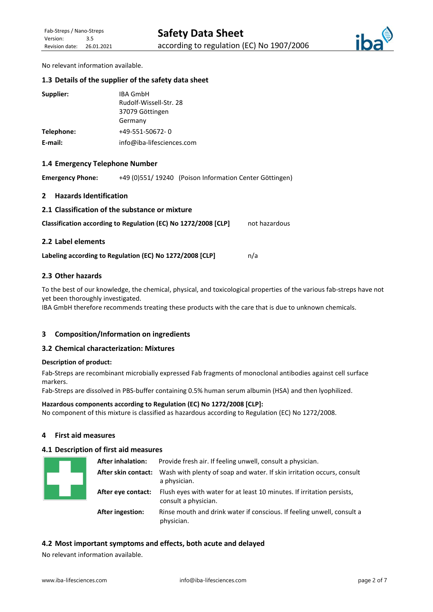

No relevant information available.

#### **1.3 Details of the supplier of the safety data sheet**

| Supplier:  | <b>IBA GmbH</b>           |
|------------|---------------------------|
|            | Rudolf-Wissell-Str. 28    |
|            | 37079 Göttingen           |
|            | Germany                   |
| Telephone: | +49-551-50672-0           |
| E-mail:    | info@iba-lifesciences.com |

#### **1.4 Emergency Telephone Number**

**Emergency Phone:** +49 (0)551/ 19240 (Poison Information Center Göttingen)

#### **2 Hazards Identification**

**2.1 Classification of the substance or mixture**

| Classification according to Regulation (EC) No 1272/2008 [CLP] | not hazardous |
|----------------------------------------------------------------|---------------|
|                                                                |               |

#### **2.2 Label elements**

Labeling according to Regulation (EC) No 1272/2008 [CLP]  $n/a$ 

#### **2.3 Other hazards**

To the best of our knowledge, the chemical, physical, and toxicological properties of the various fab-streps have not yet been thoroughly investigated.

IBA GmbH therefore recommends treating these products with the care that is due to unknown chemicals.

#### **3 Composition/Information on ingredients**

#### **3.2 Chemical characterization: Mixtures**

#### **Description of product:**

Fab-Streps are recombinant microbially expressed Fab fragments of monoclonal antibodies against cell surface markers.

Fab-Streps are dissolved in PBS-buffer containing 0.5% human serum albumin (HSA) and then lyophilized.

#### **Hazardous components according to Regulation (EC) No 1272/2008 [CLP]:**

No component of this mixture is classified as hazardous according to Regulation (EC) No 1272/2008.

## **4 First aid measures**

## **4.1 Description of first aid measures**

| <b>After inhalation:</b> | Provide fresh air. If feeling unwell, consult a physician.                                     |  |  |
|--------------------------|------------------------------------------------------------------------------------------------|--|--|
| After skin contact:      | Wash with plenty of soap and water. If skin irritation occurs, consult<br>a physician.         |  |  |
| After eye contact:       | Flush eyes with water for at least 10 minutes. If irritation persists,<br>consult a physician. |  |  |
| <b>After ingestion:</b>  | Rinse mouth and drink water if conscious. If feeling unwell, consult a<br>physician.           |  |  |

#### **4.2 Most important symptoms and effects, both acute and delayed**

No relevant information available.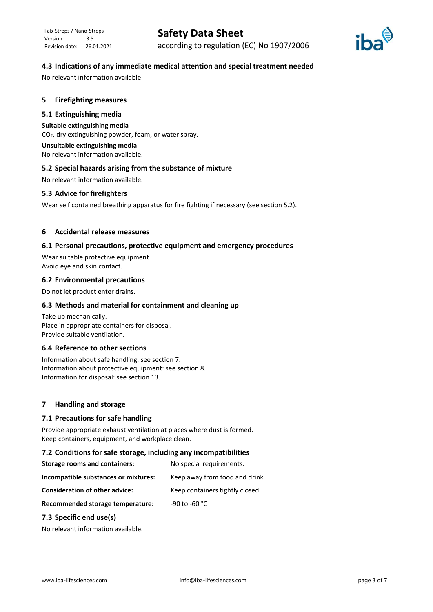

## **4.3 Indications of any immediate medical attention and special treatment needed**

No relevant information available.

#### **5 Firefighting measures**

#### **5.1 Extinguishing media**

#### **Suitable extinguishing media**

CO2, dry extinguishing powder, foam, or water spray.

## **Unsuitable extinguishing media**

No relevant information available.

#### **5.2 Special hazards arising from the substance of mixture**

No relevant information available.

#### **5.3 Advice for firefighters**

Wear self contained breathing apparatus for fire fighting if necessary (see section 5.2).

#### **6 Accidental release measures**

#### **6.1 Personal precautions, protective equipment and emergency procedures**

Wear suitable protective equipment. Avoid eye and skin contact.

#### **6.2 Environmental precautions**

Do not let product enter drains.

#### **6.3 Methods and material for containment and cleaning up**

Take up mechanically. Place in appropriate containers for disposal. Provide suitable ventilation.

## **6.4 Reference to other sections**

Information about safe handling: see section 7. Information about protective equipment: see section 8. Information for disposal: see section 13.

#### **7 Handling and storage**

#### **7.1 Precautions for safe handling**

Provide appropriate exhaust ventilation at places where dust is formed. Keep containers, equipment, and workplace clean.

#### **7.2 Conditions for safe storage, including any incompatibilities**

| <b>Storage rooms and containers:</b>  | No special requirements.        |
|---------------------------------------|---------------------------------|
| Incompatible substances or mixtures:  | Keep away from food and drink.  |
| <b>Consideration of other advice:</b> | Keep containers tightly closed. |
| Recommended storage temperature:      | -90 to -60 °C                   |

#### **7.3 Specific end use(s)**

No relevant information available.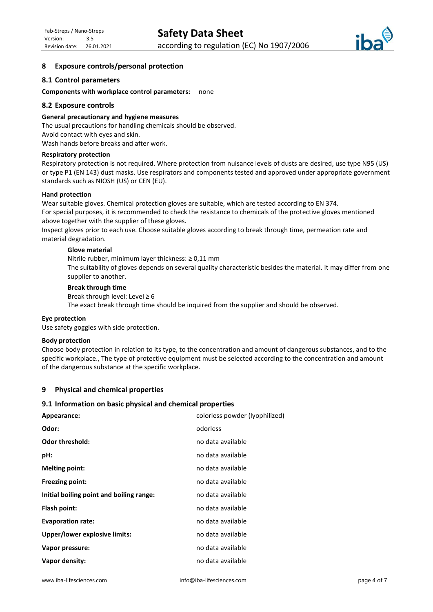

## **8 Exposure controls/personal protection**

#### **8.1 Control parameters**

#### **Components with workplace control parameters:** none

#### **8.2 Exposure controls**

#### **General precautionary and hygiene measures**

The usual precautions for handling chemicals should be observed. Avoid contact with eyes and skin. Wash hands before breaks and after work.

## **Respiratory protection**

Respiratory protection is not required. Where protection from nuisance levels of dusts are desired, use type N95 (US) or type P1 (EN 143) dust masks. Use respirators and components tested and approved under appropriate government standards such as NIOSH (US) or CEN (EU).

#### **Hand protection**

Wear suitable gloves. Chemical protection gloves are suitable, which are tested according to EN 374. For special purposes, it is recommended to check the resistance to chemicals of the protective gloves mentioned above together with the supplier of these gloves. Inspect gloves prior to each use. Choose suitable gloves according to break through time, permeation rate and material degradation.

#### **Glove material**

Nitrile rubber, minimum layer thickness: ≥ 0,11 mm The suitability of gloves depends on several quality characteristic besides the material. It may differ from one supplier to another.

#### **Break through time**

Break through level: Level  $\geq 6$ 

The exact break through time should be inquired from the supplier and should be observed.

#### **Eye protection**

Use safety goggles with side protection.

#### **Body protection**

Choose body protection in relation to its type, to the concentration and amount of dangerous substances, and to the specific workplace., The type of protective equipment must be selected according to the concentration and amount of the dangerous substance at the specific workplace.

#### **9 Physical and chemical properties**

#### **9.1 Information on basic physical and chemical properties**

| Appearance:                              | colorless powder (lyophilized) |
|------------------------------------------|--------------------------------|
| Odor:                                    | odorless                       |
| <b>Odor threshold:</b>                   | no data available              |
| pH:                                      | no data available              |
| <b>Melting point:</b>                    | no data available              |
| Freezing point:                          | no data available              |
| Initial boiling point and boiling range: | no data available              |
| Flash point:                             | no data available              |
| <b>Evaporation rate:</b>                 | no data available              |
| Upper/lower explosive limits:            | no data available              |
| Vapor pressure:                          | no data available              |
| Vapor density:                           | no data available              |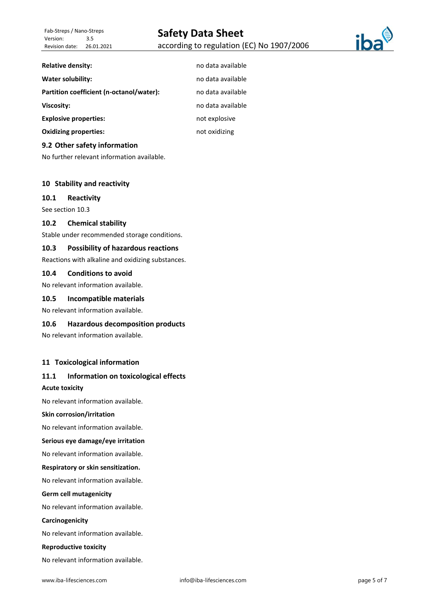**Relative density:** no data available



**Water solubility: no data available water** solubility:

**Partition coefficient (n-octanol/water):** no data available

**Viscosity:** no data available

**Explosive properties:**  $\qquad \qquad \text{not explore}$ 

**Oxidizing properties: not oxidizing** 

#### **9.2 Other safety information**

No further relevant information available.

#### **10 Stability and reactivity**

#### **10.1 Reactivity**

See section 10.3

#### **10.2 Chemical stability**

Stable under recommended storage conditions.

#### **10.3 Possibility of hazardous reactions**

Reactions with alkaline and oxidizing substances.

#### **10.4 Conditions to avoid**

No relevant information available.

#### **10.5 Incompatible materials**

No relevant information available.

#### **10.6 Hazardous decomposition products**

No relevant information available.

#### **11 Toxicological information**

## **11.1 Information on toxicological effects**

## **Acute toxicity**

No relevant information available.

#### **Skin corrosion/irritation**

No relevant information available.

#### **Serious eye damage/eye irritation**

No relevant information available.

#### **Respiratory or skin sensitization.**

No relevant information available.

#### **Germ cell mutagenicity**

No relevant information available.

#### **Carcinogenicity**

No relevant information available.

#### **Reproductive toxicity**

No relevant information available.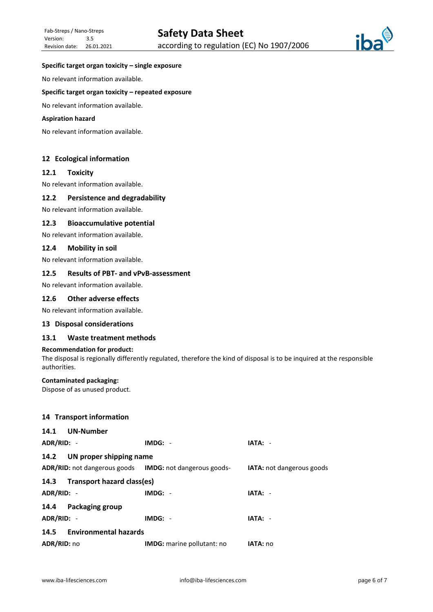

#### **Specific target organ toxicity – single exposure**

No relevant information available.

#### **Specific target organ toxicity – repeated exposure**

No relevant information available.

#### **Aspiration hazard**

No relevant information available.

## **12 Ecological information**

#### **12.1 Toxicity**

No relevant information available.

#### **12.2 Persistence and degradability**

No relevant information available.

#### **12.3 Bioaccumulative potential**

No relevant information available.

#### **12.4 Mobility in soil**

No relevant information available.

#### **12.5 Results of PBT- and vPvB-assessment**

No relevant information available.

## **12.6 Other adverse effects**

No relevant information available.

#### **13 Disposal considerations**

#### **13.1 Waste treatment methods**

#### **Recommendation for product:**

The disposal is regionally differently regulated, therefore the kind of disposal is to be inquired at the responsible authorities.

#### **Contaminated packaging:**

Dispose of as unused product.

## **14 Transport information**

| 14.1 UN-Number                  |                                                                       |                                  |  |
|---------------------------------|-----------------------------------------------------------------------|----------------------------------|--|
| ADR/RID: -                      | $IMDG: -$                                                             | IATA: -                          |  |
| 14.2<br>UN proper shipping name |                                                                       |                                  |  |
|                                 | <b>ADR/RID:</b> not dangerous goods <b>IMDG:</b> not dangerous goods- | <b>IATA:</b> not dangerous goods |  |
| 14.3 Transport hazard class(es) |                                                                       |                                  |  |
| ADR/RID: -                      | $IMDG: -$                                                             | IATA: -                          |  |
| 14.4 Packaging group            |                                                                       |                                  |  |
| ADR/RID: -                      | $IMDG: -$                                                             | IATA: -                          |  |
| 14.5 Environmental hazards      |                                                                       |                                  |  |
| ADR/RID: no                     | <b>IMDG:</b> marine pollutant: no                                     | IATA: no                         |  |